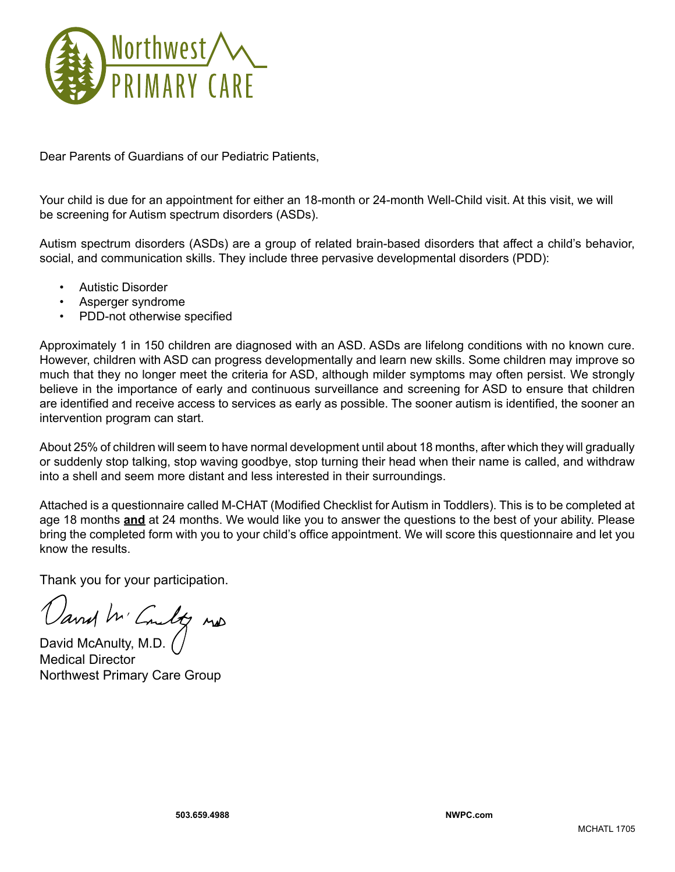

Dear Parents of Guardians of our Pediatric Patients,

Your child is due for an appointment for either an 18-month or 24-month Well-Child visit. At this visit, we will be screening for Autism spectrum disorders (ASDs).

Autism spectrum disorders (ASDs) are a group of related brain-based disorders that affect a child's behavior, social, and communication skills. They include three pervasive developmental disorders (PDD):

- **Autistic Disorder**
- Asperger syndrome
- PDD-not otherwise specified

Approximately 1 in 150 children are diagnosed with an ASD. ASDs are lifelong conditions with no known cure. However, children with ASD can progress developmentally and learn new skills. Some children may improve so much that they no longer meet the criteria for ASD, although milder symptoms may often persist. We strongly believe in the importance of early and continuous surveillance and screening for ASD to ensure that children are identified and receive access to services as early as possible. The sooner autism is identified, the sooner an intervention program can start.

About 25% of children will seem to have normal development until about 18 months, after which they will gradually or suddenly stop talking, stop waving goodbye, stop turning their head when their name is called, and withdraw into a shell and seem more distant and less interested in their surroundings.

Attached is a questionnaire called M-CHAT (Modified Checklist for Autism in Toddlers). This is to be completed at age 18 months **and** at 24 months. We would like you to answer the questions to the best of your ability. Please bring the completed form with you to your child's office appointment. We will score this questionnaire and let you know the results.

Thank you for your participation.

David M' Coulty mp

Medical Director Northwest Primary Care Group